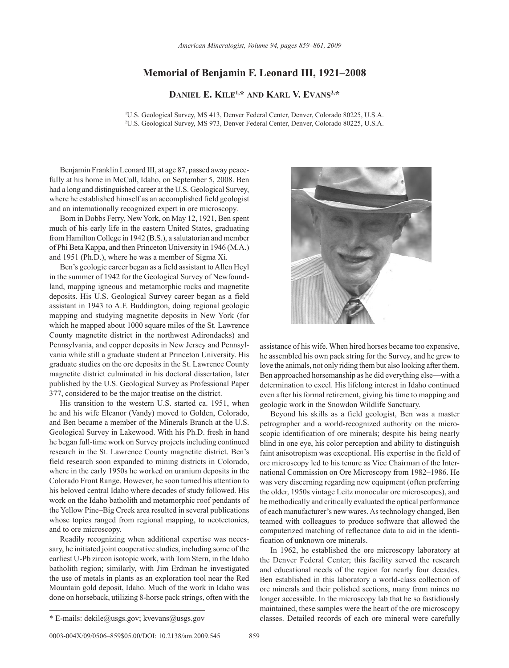## **Memorial of Benjamin F. Leonard III, 1921–2008**

**Daniel E. Kile1,\* and Karl V. Evans2,\***

1 U.S. Geological Survey, MS 413, Denver Federal Center, Denver, Colorado 80225, U.S.A. 2 U.S. Geological Survey, MS 973, Denver Federal Center, Denver, Colorado 80225, U.S.A.

Benjamin Franklin Leonard III, at age 87, passed away peacefully at his home in McCall, Idaho, on September 5, 2008. Ben had a long and distinguished career at the U.S. Geological Survey, where he established himself as an accomplished field geologist and an internationally recognized expert in ore microscopy.

Born in Dobbs Ferry, New York, on May 12, 1921, Ben spent much of his early life in the eastern United States, graduating from Hamilton College in 1942 (B.S.), a salutatorian and member of Phi Beta Kappa, and then Princeton University in 1946 (M.A.) and 1951 (Ph.D.), where he was a member of Sigma Xi.

Ben's geologic career began as a field assistant to Allen Heyl in the summer of 1942 for the Geological Survey of Newfoundland, mapping igneous and metamorphic rocks and magnetite deposits. His U.S. Geological Survey career began as a field assistant in 1943 to A.F. Buddington, doing regional geologic mapping and studying magnetite deposits in New York (for which he mapped about 1000 square miles of the St. Lawrence County magnetite district in the northwest Adirondacks) and Pennsylvania, and copper deposits in New Jersey and Pennsylvania while still a graduate student at Princeton University. His graduate studies on the ore deposits in the St. Lawrence County magnetite district culminated in his doctoral dissertation, later published by the U.S. Geological Survey as Professional Paper 377, considered to be the major treatise on the district.

His transition to the western U.S. started ca. 1951, when he and his wife Eleanor (Vandy) moved to Golden, Colorado, and Ben became a member of the Minerals Branch at the U.S. Geological Survey in Lakewood. With his Ph.D. fresh in hand he began full-time work on Survey projects including continued research in the St. Lawrence County magnetite district. Ben's field research soon expanded to mining districts in Colorado, where in the early 1950s he worked on uranium deposits in the Colorado Front Range. However, he soon turned his attention to his beloved central Idaho where decades of study followed. His work on the Idaho batholith and metamorphic roof pendants of the Yellow Pine–Big Creek area resulted in several publications whose topics ranged from regional mapping, to neotectonics, and to ore microscopy.

Readily recognizing when additional expertise was necessary, he initiated joint cooperative studies, including some of the earliest U-Pb zircon isotopic work, with Tom Stern, in the Idaho batholith region; similarly, with Jim Erdman he investigated the use of metals in plants as an exploration tool near the Red Mountain gold deposit, Idaho. Much of the work in Idaho was done on horseback, utilizing 8-horse pack strings, often with the





assistance of his wife. When hired horses became too expensive, he assembled his own pack string for the Survey, and he grew to love the animals, not only riding them but also looking after them. Ben approached horsemanship as he did everything else—with a determination to excel. His lifelong interest in Idaho continued even after his formal retirement, giving his time to mapping and geologic work in the Snowdon Wildlife Sanctuary.

Beyond his skills as a field geologist, Ben was a master petrographer and a world-recognized authority on the microscopic identification of ore minerals; despite his being nearly blind in one eye, his color perception and ability to distinguish faint anisotropism was exceptional. His expertise in the field of ore microscopy led to his tenure as Vice Chairman of the International Commission on Ore Microscopy from 1982–1986. He was very discerning regarding new equipment (often preferring the older, 1950s vintage Leitz monocular ore microscopes), and he methodically and critically evaluated the optical performance of each manufacturer's new wares. As technology changed, Ben teamed with colleagues to produce software that allowed the computerized matching of reflectance data to aid in the identification of unknown ore minerals.

In 1962, he established the ore microscopy laboratory at the Denver Federal Center; this facility served the research and educational needs of the region for nearly four decades. Ben established in this laboratory a world-class collection of ore minerals and their polished sections, many from mines no longer accessible. In the microscopy lab that he so fastidiously maintained, these samples were the heart of the ore microscopy \* E-mails: dekile@usgs.gov; kvevans@usgs.gov classes. Detailed records of each ore mineral were carefully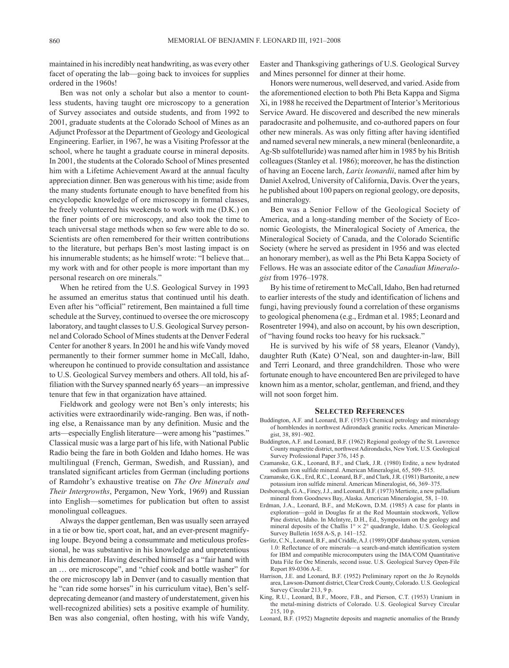maintained in his incredibly neat handwriting, as was every other facet of operating the lab—going back to invoices for supplies ordered in the 1960s!

Ben was not only a scholar but also a mentor to countless students, having taught ore microscopy to a generation of Survey associates and outside students, and from 1992 to 2001, graduate students at the Colorado School of Mines as an Adjunct Professor at the Department of Geology and Geological Engineering. Earlier, in 1967, he was a Visiting Professor at the school, where he taught a graduate course in mineral deposits. In 2001, the students at the Colorado School of Mines presented him with a Lifetime Achievement Award at the annual faculty appreciation dinner. Ben was generous with his time; aside from the many students fortunate enough to have benefited from his encyclopedic knowledge of ore microscopy in formal classes, he freely volunteered his weekends to work with me (D.K.) on the finer points of ore microscopy, and also took the time to teach universal stage methods when so few were able to do so. Scientists are often remembered for their written contributions to the literature, but perhaps Ben's most lasting impact is on his innumerable students; as he himself wrote: "I believe that... my work with and for other people is more important than my personal research on ore minerals."

When he retired from the U.S. Geological Survey in 1993 he assumed an emeritus status that continued until his death. Even after his "official" retirement, Ben maintained a full time schedule at the Survey, continued to oversee the ore microscopy laboratory, and taught classes to U.S. Geological Survey personnel and Colorado School of Mines students at the Denver Federal Center for another 8 years. In 2001 he and his wife Vandy moved permanently to their former summer home in McCall, Idaho, whereupon he continued to provide consultation and assistance to U.S. Geological Survey members and others. All told, his affiliation with the Survey spanned nearly 65 years—an impressive tenure that few in that organization have attained.

Fieldwork and geology were not Ben's only interests; his activities were extraordinarily wide-ranging. Ben was, if nothing else, a Renaissance man by any definition. Music and the arts—especially English literature—were among his "pastimes." Classical music was a large part of his life, with National Public Radio being the fare in both Golden and Idaho homes. He was multilingual (French, German, Swedish, and Russian), and translated significant articles from German (including portions of Ramdohr's exhaustive treatise on *The Ore Minerals and Their Intergrowths*, Pergamon, New York, 1969) and Russian into English—sometimes for publication but often to assist monolingual colleagues.

Always the dapper gentleman, Ben was usually seen arrayed in a tie or bow tie, sport coat, hat, and an ever-present magnifying loupe. Beyond being a consummate and meticulous professional, he was substantive in his knowledge and unpretentious in his demeanor. Having described himself as a "fair hand with an … ore microscope", and "chief cook and bottle washer" for the ore microscopy lab in Denver (and to casually mention that he "can ride some horses" in his curriculum vitae), Ben's selfdeprecating demeanor (and mastery of understatement, given his well-recognized abilities) sets a positive example of humility. Ben was also congenial, often hosting, with his wife Vandy,

Easter and Thanksgiving gatherings of U.S. Geological Survey and Mines personnel for dinner at their home.

Honors were numerous, well deserved, and varied. Aside from the aforementioned election to both Phi Beta Kappa and Sigma Xi, in 1988 he received the Department of Interior's Meritorious Service Award. He discovered and described the new minerals paradocrasite and polhemusite, and co-authored papers on four other new minerals. As was only fitting after having identified and named several new minerals, a new mineral (benleonardite, a Ag-Sb sulfotelluride) was named after him in 1985 by his British colleagues (Stanley et al. 1986); moreover, he has the distinction of having an Eocene larch, *Larix leonardii*, named after him by Daniel Axelrod, University of California, Davis. Over the years, he published about 100 papers on regional geology, ore deposits, and mineralogy.

Ben was a Senior Fellow of the Geological Society of America, and a long-standing member of the Society of Economic Geologists, the Mineralogical Society of America, the Mineralogical Society of Canada, and the Colorado Scientific Society (where he served as president in 1956 and was elected an honorary member), as well as the Phi Beta Kappa Society of Fellows. He was an associate editor of the *Canadian Mineralogist* from 1976–1978.

By his time of retirement to McCall, Idaho, Ben had returned to earlier interests of the study and identification of lichens and fungi, having previously found a correlation of these organisms to geological phenomena (e.g., Erdman et al. 1985; Leonard and Rosentreter 1994), and also on account, by his own description, of "having found rocks too heavy for his rucksack."

He is survived by his wife of 58 years, Eleanor (Vandy), daughter Ruth (Kate) O'Neal, son and daughter-in-law, Bill and Terri Leonard, and three grandchildren. Those who were fortunate enough to have encountered Ben are privileged to have known him as a mentor, scholar, gentleman, and friend, and they will not soon forget him.

## **Selected References**

- Buddington, A.F. and Leonard, B.F. (1953) Chemical petrology and mineralogy of hornblendes in northwest Adirondack granitic rocks. American Mineralogist, 38, 891–902.
- Buddington, A.F. and Leonard, B.F. (1962) Regional geology of the St. Lawrence County magnetite district, northwest Adirondacks, New York. U.S. Geological Survey Professional Paper 376, 145 p.
- Czamanske, G.K., Leonard, B.F., and Clark, J.R. (1980) Erdite, a new hydrated sodium iron sulfide mineral. American Mineralogist, 65, 509–515.
- Czamanske, G.K., Erd, R.C., Leonard, B.F., and Clark, J.R. (1981) Bartonite, a new potassium iron sulfide mineral. American Mineralogist, 66, 369–375.
- Desborough, G.A., Finey, J.J., and Leonard, B.F. (1973) Mertieite, a new palladium mineral from Goodnews Bay, Alaska. American Mineralogist, 58, 1–10.
- Erdman, J.A., Leonard, B.F., and McKown, D.M. (1985) A case for plants in exploration—gold in Douglas fir at the Red Mountain stockwork, Yellow Pine district, Idaho. In McIntyre, D.H., Ed., Symposium on the geology and mineral deposits of the Challis  $1^{\circ} \times 2^{\circ}$  quadrangle, Idaho. U.S. Geological Survey Bulletin 1658 A-S, p. 141–152.
- Gerlitz, C.N., Leonard, B.F., and Criddle, A.J. (1989) QDF database system, version 1.0: Reflectance of ore minerals—a search-and-match identification system for IBM and compatible microcomputers using the IMA/COM Quantitative Data File for Ore Minerals, second issue. U.S. Geological Survey Open-File Report 89-0306 A-E.
- Harrison, J.E. and Leonard, B.F. (1952) Preliminary report on the Jo Reynolds area, Lawson-Dumont district, Clear Creek County, Colorado. U.S. Geological Survey Circular 213, 9 p.
- King, R.U., Leonard, B.F., Moore, F.B., and Pierson, C.T. (1953) Uranium in the metal-mining districts of Colorado. U.S. Geological Survey Circular 215, 10 p.
- Leonard, B.F. (1952) Magnetite deposits and magnetic anomalies of the Brandy